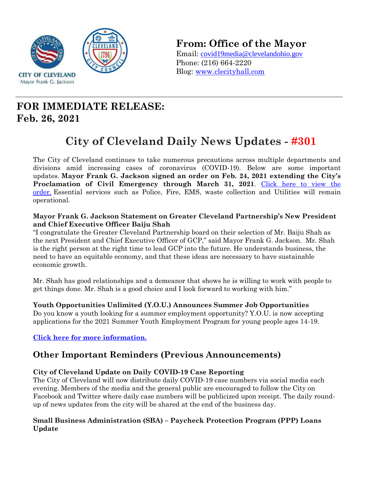

**From: Office of the Mayor**

Email: covid19media@clevelandohio.gov Phone: (216) 664-2220 Blog: www.clecityhall.com

## **FOR IMMEDIATE RELEASE: Feb. 26, 2021**

# **City of Cleveland Daily News Updates - #301**

The City of Cleveland continues to take numerous precautions across multiple departments and divisions amid increasing cases of coronavirus (COVID-19). Below are some important updates. **Mayor Frank G. Jackson signed an order on Feb. 24, 2021 extending the City's**  Proclamation of Civil Emergency through March 31, 2021. Click here to view the [order.](https://clecityhall.files.wordpress.com/2021/02/proc-of-civil-emergency-march.pdf) Essential services such as Police, Fire, EMS, waste collection and Utilities will remain operational.

#### **Mayor Frank G. Jackson Statement on Greater Cleveland Partnership's New President and Chief Executive Officer Baiju Shah**

"I congratulate the Greater Cleveland Partnership board on their selection of Mr. Baiju Shah as the next President and Chief Executive Officer of GCP," said Mayor Frank G. Jackson. Mr. Shah is the right person at the right time to lead GCP into the future. He understands business, the need to have an equitable economy, and that these ideas are necessary to have sustainable economic growth.

Mr. Shah has good relationships and a demeanor that shows he is willing to work with people to get things done. Mr. Shah is a good choice and I look forward to working with him."

#### **Youth Opportunities Unlimited (Y.O.U.) Announces Summer Job Opportunities**

Do you know a youth looking for a summer employment opportunity? Y.O.U. is now accepting applications for the 2021 Summer Youth Employment Program for young people ages 14-19.

#### **Click here [for more information.](https://www.youthopportunities.org/syep)**

### **Other Important Reminders (Previous Announcements)**

#### **City of Cleveland Update on Daily COVID-19 Case Reporting**

The City of Cleveland will now distribute daily COVID-19 case numbers via social media each evening. Members of the media and the general public are encouraged to follow the City on Facebook and Twitter where daily case numbers will be publicized upon receipt. The daily roundup of news updates from the city will be shared at the end of the business day.

#### **Small Business Administration (SBA) – Paycheck Protection Program (PPP) Loans Update**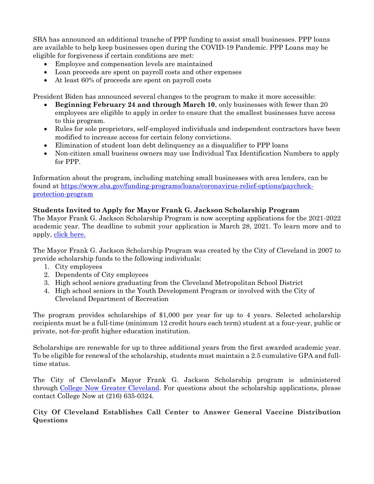SBA has announced an additional tranche of PPP funding to assist small businesses. PPP loans are available to help keep businesses open during the COVID-19 Pandemic. PPP Loans may be eligible for forgiveness if certain conditions are met:

- Employee and compensation levels are maintained
- Loan proceeds are spent on payroll costs and other expenses
- At least 60% of proceeds are spent on payroll costs

President Biden has announced several changes to the program to make it more accessible:

- **Beginning February 24 and through March 10**, only businesses with fewer than 20 employees are eligible to apply in order to ensure that the smallest businesses have access to this program.
- Rules for sole proprietors, self-employed individuals and independent contractors have been modified to increase access for certain felony convictions.
- Elimination of student loan debt delinquency as a disqualifier to PPP loans
- Non-citizen small business owners may use Individual Tax Identification Numbers to apply for PPP.

Information about the program, including matching small businesses with area lenders, can be found at [https://www.sba.gov/funding-programs/loans/coronavirus-relief-options/paycheck](https://www.sba.gov/funding-programs/loans/coronavirus-relief-options/paycheck-protection-program)[protection-program](https://www.sba.gov/funding-programs/loans/coronavirus-relief-options/paycheck-protection-program)

#### **Students Invited to Apply for Mayor Frank G. Jackson Scholarship Program**

The Mayor Frank G. Jackson Scholarship Program is now accepting applications for the 2021-2022 academic year. The deadline to submit your application is March 28, 2021. To learn more and to apply, [click here.](https://app.smarterselect.com/programs/71707-College-Now-Greater-Cleveland)

The Mayor Frank G. Jackson Scholarship Program was created by the City of Cleveland in 2007 to provide scholarship funds to the following individuals:

- 1. City employees
- 2. Dependents of City employees
- 3. High school seniors graduating from the Cleveland Metropolitan School District
- 4. High school seniors in the Youth Development Program or involved with the City of Cleveland Department of Recreation

The program provides scholarships of \$1,000 per year for up to 4 years. Selected scholarship recipients must be a full-time (minimum 12 credit hours each term) student at a four-year, public or private, not-for-profit higher education institution.

Scholarships are renewable for up to three additional years from the first awarded academic year. To be eligible for renewal of the scholarship, students must maintain a 2.5 cumulative GPA and fulltime status.

The City of Cleveland's Mayor Frank G. Jackson Scholarship program is administered through [College Now Greater Cleveland.](https://www.collegenowgc.org/) For questions about the scholarship applications, please contact College Now at (216) 635-0324.

**City Of Cleveland Establishes Call Center to Answer General Vaccine Distribution Questions**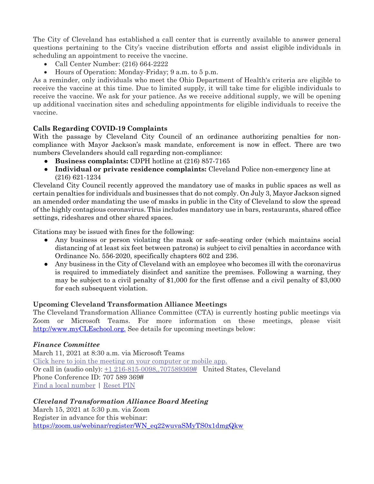The City of Cleveland has established a call center that is currently available to answer general questions pertaining to the City's vaccine distribution efforts and assist eligible individuals in scheduling an appointment to receive the vaccine.

- Call Center Number: (216) 664-2222
- Hours of Operation: Monday-Friday; 9 a.m. to 5 p.m.

As a reminder, only individuals who meet the Ohio Department of Health's criteria are eligible to receive the vaccine at this time. Due to limited supply, it will take time for eligible individuals to receive the vaccine. We ask for your patience. As we receive additional supply, we will be opening up additional vaccination sites and scheduling appointments for eligible individuals to receive the vaccine.

#### **Calls Regarding COVID-19 Complaints**

With the passage by Cleveland City Council of an ordinance authorizing penalties for noncompliance with Mayor Jackson's mask mandate, enforcement is now in effect. There are two numbers Clevelanders should call regarding non-compliance:

- **Business complaints:** CDPH hotline at (216) 857-7165
- **Individual or private residence complaints:** Cleveland Police non-emergency line at (216) 621-1234

Cleveland City Council recently approved the mandatory use of masks in public spaces as well as certain penalties for individuals and businesses that do not comply. On July 3, Mayor Jackson signed an amended order mandating the use of masks in public in the City of Cleveland to slow the spread of the highly contagious coronavirus. This includes mandatory use in bars, restaurants, shared office settings, rideshares and other shared spaces.

Citations may be issued with fines for the following:

- Any business or person violating the mask or safe-seating order (which maintains social distancing of at least six feet between patrons) is subject to civil penalties in accordance with Ordinance No. 556-2020, specifically chapters 602 and 236.
- Any business in the City of Cleveland with an employee who becomes ill with the coronavirus is required to immediately disinfect and sanitize the premises. Following a warning, they may be subject to a civil penalty of \$1,000 for the first offense and a civil penalty of \$3,000 for each subsequent violation.

#### **Upcoming Cleveland Transformation Alliance Meetings**

The Cleveland Transformation Alliance Committee (CTA) is currently hosting public meetings via Zoom or Microsoft Teams. For more information on these meetings, please visit [http://www.myCLEschool.org.](http://www.mycleschool.org/) See details for upcoming meetings below:

#### *Finance Committee*

March 11, 2021 at 8:30 a.m. via Microsoft Teams [Click here to join the meeting](https://teams.microsoft.com/l/meetup-join/19%3ameeting_YmQ3NDU3NmEtY2Q2MC00MWI0LWIyYzAtYzEwMDQwMWUzNTM1%40thread.v2/0?context=%7b%22Tid%22%3a%225dbb3024-8bde-472a-bcff-d8774687efc6%22%2c%22Oid%22%3a%22409b8b97-4589-4eea-a7bb-f33766222c64%22%7d) on your computer or mobile app. Or call in (audio only): [+1 216-815-0098,,707589369#](tel:+12168150098,,707589369%23) United States, Cleveland Phone Conference ID: 707 589 369# [Find a local number](https://dialin.teams.microsoft.com/515d6b75-647f-4efc-a2a8-d5f428dd99fd?id=707589369) | [Reset PIN](https://mysettings.lync.com/pstnconferencing)

#### *Cleveland Transformation Alliance Board Meeting*

March 15, 2021 at 5:30 p.m. via Zoom Register in advance for this webinar: [https://zoom.us/webinar/register/WN\\_eq22wuvaSMyTS0x1dmgQkw](https://zoom.us/webinar/register/WN_eq22wuvaSMyTS0x1dmgQkw)